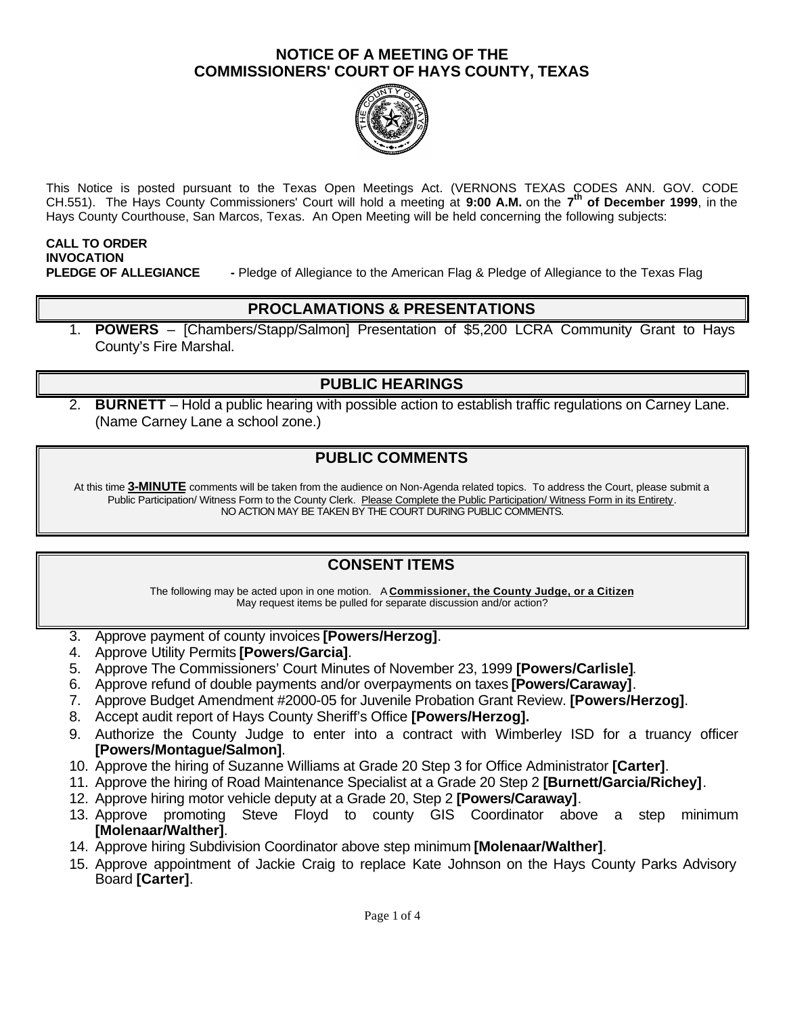

This Notice is posted pursuant to the Texas Open Meetings Act. (VERNONS TEXAS CODES ANN. GOV. CODE CH.551). The Hays County Commissioners' Court will hold a meeting at **9:00 A.M.** on the **7 th of December 1999**, in the Hays County Courthouse, San Marcos, Texas. An Open Meeting will be held concerning the following subjects:

# **CALL TO ORDER INVOCATION**

**PLEDGE OF ALLEGIANCE -** Pledge of Allegiance to the American Flag & Pledge of Allegiance to the Texas Flag

#### **PROCLAMATIONS & PRESENTATIONS**

1. **POWERS** – [Chambers/Stapp/Salmon] Presentation of \$5,200 LCRA Community Grant to Hays County's Fire Marshal.

## **PUBLIC HEARINGS**

2. **BURNETT** – Hold a public hearing with possible action to establish traffic regulations on Carney Lane. (Name Carney Lane a school zone.)

## **PUBLIC COMMENTS**

At this time **3-MINUTE** comments will be taken from the audience on Non-Agenda related topics. To address the Court, please submit a Public Participation/ Witness Form to the County Clerk. Please Complete the Public Participation/ Witness Form in its Entirety. NO ACTION MAY BE TAKEN BY THE COURT DURING PUBLIC COMMENTS.

# **CONSENT ITEMS**

The following may be acted upon in one motion. A **Commissioner, the County Judge, or a Citizen** May request items be pulled for separate discussion and/or action?

- 3. Approve payment of county invoices **[Powers/Herzog]**.
- 4. Approve Utility Permits **[Powers/Garcia]**.
- 5. Approve The Commissioners' Court Minutes of November 23, 1999 **[Powers/Carlisle]**.
- 6. Approve refund of double payments and/or overpayments on taxes **[Powers/Caraway]**.
- 7. Approve Budget Amendment #2000-05 for Juvenile Probation Grant Review. **[Powers/Herzog]**.
- 8. Accept audit report of Hays County Sheriff's Office **[Powers/Herzog].**
- 9. Authorize the County Judge to enter into a contract with Wimberley ISD for a truancy officer **[Powers/Montague/Salmon]**.
- 10. Approve the hiring of Suzanne Williams at Grade 20 Step 3 for Office Administrator **[Carter]**.
- 11. Approve the hiring of Road Maintenance Specialist at a Grade 20 Step 2 **[Burnett/Garcia/Richey]**.
- 12. Approve hiring motor vehicle deputy at a Grade 20, Step 2 **[Powers/Caraway]**.
- 13. Approve promoting Steve Floyd to county GIS Coordinator above a step minimum **[Molenaar/Walther]**.
- 14. Approve hiring Subdivision Coordinator above step minimum **[Molenaar/Walther]**.
- 15. Approve appointment of Jackie Craig to replace Kate Johnson on the Hays County Parks Advisory Board **[Carter]**.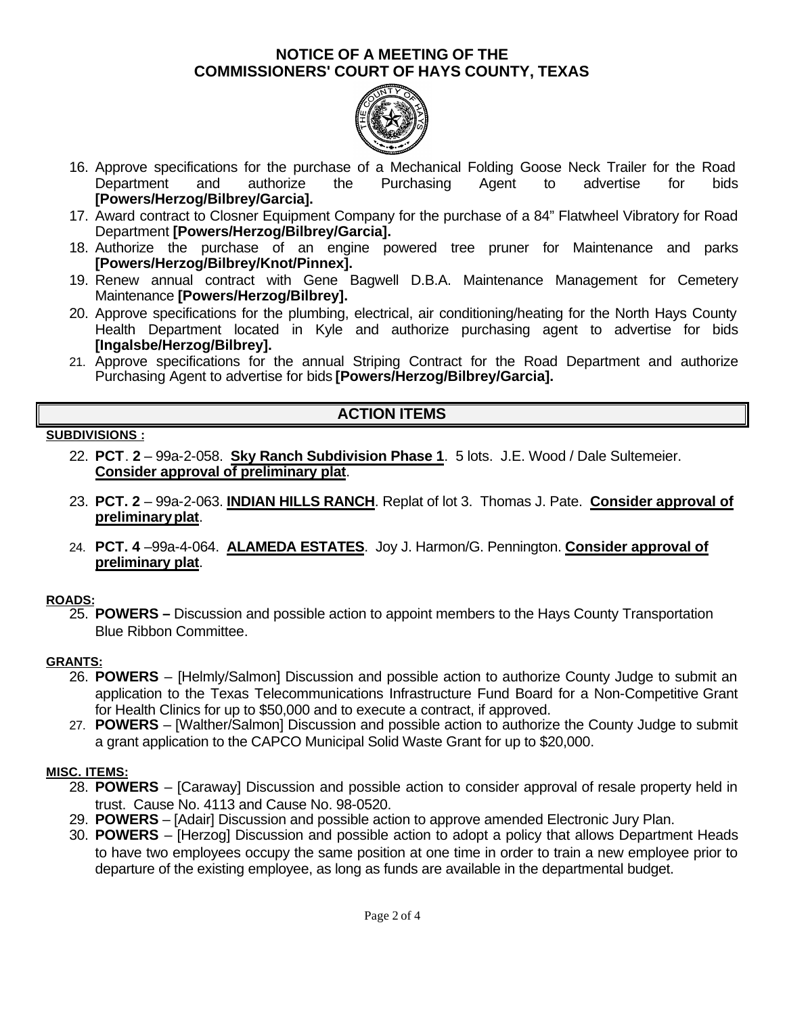

- 16. Approve specifications for the purchase of a Mechanical Folding Goose Neck Trailer for the Road Department and authorize the Purchasing Agent to advertise for bids **[Powers/Herzog/Bilbrey/Garcia].**
- 17. Award contract to Closner Equipment Company for the purchase of a 84" Flatwheel Vibratory for Road Department **[Powers/Herzog/Bilbrey/Garcia].**
- 18. Authorize the purchase of an engine powered tree pruner for Maintenance and parks **[Powers/Herzog/Bilbrey/Knot/Pinnex].**
- 19. Renew annual contract with Gene Bagwell D.B.A. Maintenance Management for Cemetery Maintenance **[Powers/Herzog/Bilbrey].**
- 20. Approve specifications for the plumbing, electrical, air conditioning/heating for the North Hays County Health Department located in Kyle and authorize purchasing agent to advertise for bids **[Ingalsbe/Herzog/Bilbrey].**
- 21. Approve specifications for the annual Striping Contract for the Road Department and authorize Purchasing Agent to advertise for bids **[Powers/Herzog/Bilbrey/Garcia].**

# **ACTION ITEMS**

#### **SUBDIVISIONS :**

- 22. **PCT**. **2** 99a-2-058. **Sky Ranch Subdivision Phase 1**. 5 lots. J.E. Wood / Dale Sultemeier. **Consider approval of preliminary plat**.
- 23. **PCT. 2** 99a-2-063. **INDIAN HILLS RANCH**. Replat of lot 3. Thomas J. Pate. **Consider approval of preliminary plat**.
- 24. **PCT. 4** –99a-4-064. **ALAMEDA ESTATES**. Joy J. Harmon/G. Pennington. **Consider approval of preliminary plat**.

### **ROADS:**

25. **POWERS –** Discussion and possible action to appoint members to the Hays County Transportation Blue Ribbon Committee.

### **GRANTS:**

- 26. **POWERS**  [Helmly/Salmon] Discussion and possible action to authorize County Judge to submit an application to the Texas Telecommunications Infrastructure Fund Board for a Non-Competitive Grant for Health Clinics for up to \$50,000 and to execute a contract, if approved.
- 27. **POWERS**  [Walther/Salmon] Discussion and possible action to authorize the County Judge to submit a grant application to the CAPCO Municipal Solid Waste Grant for up to \$20,000.

### **MISC. ITEMS:**

- 28. **POWERS** [Caraway] Discussion and possible action to consider approval of resale property held in trust. Cause No. 4113 and Cause No. 98-0520.
- 29. **POWERS**  [Adair] Discussion and possible action to approve amended Electronic Jury Plan.
- 30. **POWERS**  [Herzog] Discussion and possible action to adopt a policy that allows Department Heads to have two employees occupy the same position at one time in order to train a new employee prior to departure of the existing employee, as long as funds are available in the departmental budget.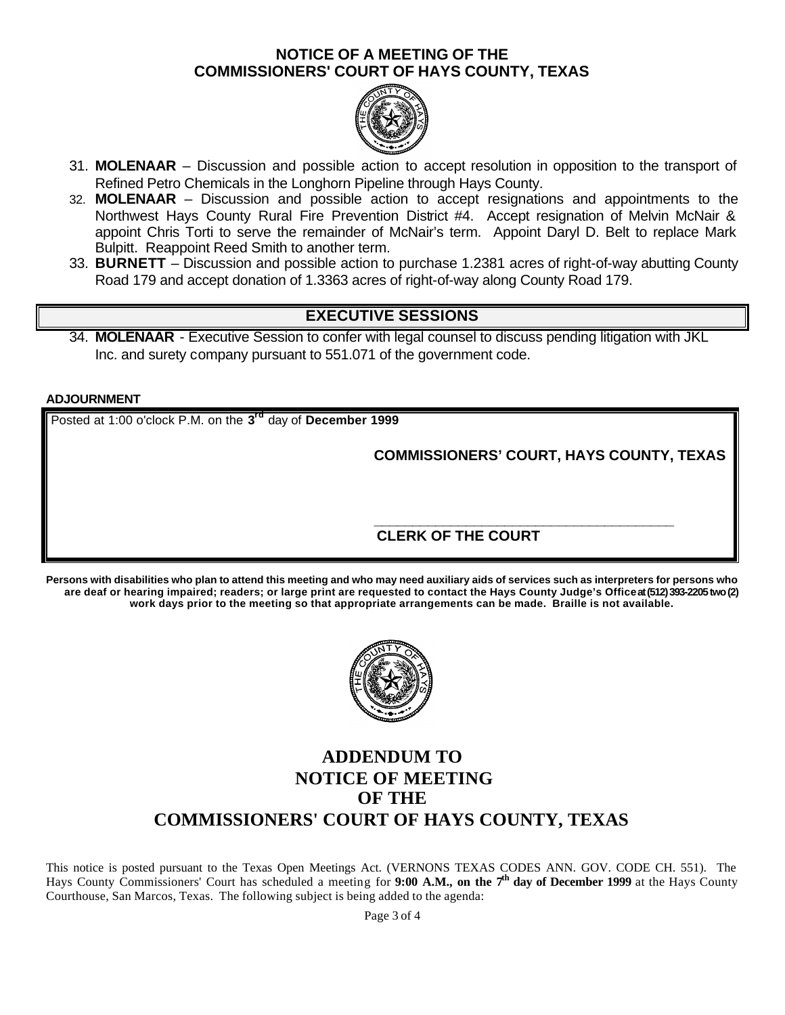

- 31. **MOLENAAR**  Discussion and possible action to accept resolution in opposition to the transport of Refined Petro Chemicals in the Longhorn Pipeline through Hays County.
- 32. **MOLENAAR**  Discussion and possible action to accept resignations and appointments to the Northwest Hays County Rural Fire Prevention District #4. Accept resignation of Melvin McNair & appoint Chris Torti to serve the remainder of McNair's term. Appoint Daryl D. Belt to replace Mark Bulpitt. Reappoint Reed Smith to another term.
- 33. **BURNETT**  Discussion and possible action to purchase 1.2381 acres of right-of-way abutting County Road 179 and accept donation of 1.3363 acres of right-of-way along County Road 179.

# **EXECUTIVE SESSIONS**

34. **MOLENAAR** - Executive Session to confer with legal counsel to discuss pending litigation with JKL Inc. and surety company pursuant to 551.071 of the government code.

#### **ADJOURNMENT**

Posted at 1:00 o'clock P.M. on the **3 rd** day of **December 1999**

**COMMISSIONERS' COURT, HAYS COUNTY, TEXAS**

#### **\_\_\_\_\_\_\_\_\_\_\_\_\_\_\_\_\_\_\_\_\_\_\_\_\_\_\_\_\_\_\_\_\_\_\_\_\_\_\_ CLERK OF THE COURT**

**Persons with disabilities who plan to attend this meeting and who may need auxiliary aids of services such as interpreters for persons who are deaf or hearing impaired; readers; or large print are requested to contact the Hays County Judge's Office at (512) 393-2205 two (2) work days prior to the meeting so that appropriate arrangements can be made. Braille is not available.**



# **ADDENDUM TO NOTICE OF MEETING OF THE COMMISSIONERS' COURT OF HAYS COUNTY, TEXAS**

This notice is posted pursuant to the Texas Open Meetings Act. (VERNONS TEXAS CODES ANN. GOV. CODE CH. 551). The Hays County Commissioners' Court has scheduled a meeting for **9:00 A.M., on the 7th day of December 1999** at the Hays County Courthouse, San Marcos, Texas. The following subject is being added to the agenda:

Page 3 of 4